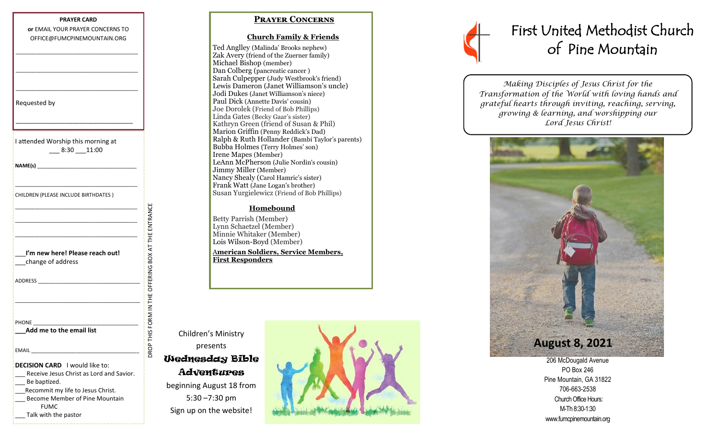#### **PRAYER CARD or** EMAIL YOUR PRAYER CONCERNS TO OFFICE@FUMCPINEMOUNTAIN.ORG

\_\_\_\_\_\_\_\_\_\_\_\_\_\_\_\_\_\_\_\_\_\_\_\_\_\_\_\_\_\_\_\_\_\_\_\_\_\_\_\_\_\_\_

\_\_\_\_\_\_\_\_\_\_\_\_\_\_\_\_\_\_\_\_\_\_\_\_\_\_\_\_\_\_\_\_\_\_\_\_\_\_\_\_\_\_\_

\_\_\_\_\_\_\_\_\_\_\_\_\_\_\_\_\_\_\_\_\_\_\_\_\_\_\_\_\_\_\_\_\_\_\_\_\_\_\_\_\_\_\_

\_\_\_\_\_\_\_\_\_\_\_\_\_\_\_\_\_\_\_\_\_\_\_\_\_\_\_\_\_\_\_\_\_

Requested by

I attended Worship this morning at \_\_\_ 8:30 \_\_\_11:00

**NAME(s)** \_\_\_\_\_\_\_\_\_\_\_\_\_\_\_\_\_\_\_\_\_\_\_\_\_\_\_\_\_\_\_\_\_\_\_

CHILDREN (PLEASE INCLUDE BIRTHDATES )

\_\_\_\_\_\_\_\_\_\_\_\_\_\_\_\_\_\_\_\_\_\_\_\_\_\_\_\_\_\_\_\_\_\_\_\_\_\_\_\_\_\_\_

\_\_\_\_\_\_\_\_\_\_\_\_\_\_\_\_\_\_\_\_\_\_\_\_\_\_\_\_\_\_\_\_\_\_\_\_\_\_\_\_\_\_\_ \_\_\_\_\_\_\_\_\_\_\_\_\_\_\_\_\_\_\_\_\_\_\_\_\_\_\_\_\_\_\_\_\_\_\_\_\_\_\_\_\_\_\_ \_\_\_\_\_\_\_\_\_\_\_\_\_\_\_\_\_\_\_\_\_\_\_\_\_\_\_\_\_\_\_\_\_\_\_\_\_\_\_\_\_\_\_ ENTRANCE

OFFERING BOX AT THE

OROP THIS FORM IN THE

| I'm new here! Please reach out! |  |  |
|---------------------------------|--|--|
| change of address               |  |  |

\_\_\_\_\_\_\_\_\_\_\_\_\_\_\_\_\_\_\_\_\_\_\_\_\_\_\_\_\_\_\_\_\_\_\_\_\_\_\_\_\_\_\_\_

ADDRESS \_\_\_\_\_\_\_\_\_\_\_\_\_\_\_\_\_\_\_\_\_\_\_\_\_\_\_\_\_\_\_\_\_\_\_\_

| <b>PHONE</b><br>$\sim$ $\sim$ |  |  |
|-------------------------------|--|--|
|                               |  |  |

**\_\_\_Add me to the email list** 

EMAIL \_\_\_\_\_\_\_\_\_\_\_\_\_\_\_\_\_\_\_\_\_\_\_\_\_\_\_\_\_\_\_\_\_\_\_\_\_\_

## **Prayer Concerns**

#### **Church Family & Friends**

Ted Anglley (Malinda' Brooks nephew) Zak Avery (friend of the Zuerner family) Michael Bishop (member) Dan Colberg (pancreatic cancer ) Sarah Culpepper (Judy Westbrook's friend) Lewis Dameron (Janet Williamson's uncle) Jodi Dukes (Janet Williamson's niece) Paul Dick (Annette Davis' cousin) Joe Dorolek (Friend of Bob Phillips) Linda Gates (Becky Gaar's sister) Kathryn Green (friend of Susan & Phil) Marion Griffin (Penny Reddick's Dad) Ralph & Ruth Hollander (Bambi Taylor's parents) Bubba Holmes (Terry Holmes' son) Irene Mapes (Member) LeAnn McPherson (Julie Nordin's cousin) Jimmy Miller (Member) Nancy Shealy (Carol Hamric's sister) Frank Watt (Jane Logan's brother) Susan Yurgielewicz (Friend of Bob Phillips)

### **Homebound**

Betty Parrish (Member) Lynn Schaetzel (Member) Minnie Whitaker (Member) Lois Wilson-Boyd (Member)

A**merican Soldiers, Service Members, First Responders**

Children's Ministry presents

# DROP THIS FORM IN THE OFFERING BOX AT THE ENTRANCE Wednesday Bible **Adventures**

beginning August 18 from 5:30 –7:30 pm Sign up on the website!



# First United Methodist Church of Pine Mountain

*Making Disciples of Jesus Christ for the Transformation of the World with loving hands and grateful hearts through inviting, reaching, serving, growing & learning, and worshipping our Lord Jesus Christ!* 



206 McDougald Avenue PO Box 246 Pine Mountain, GA 31822 706-663-2538 Church Office Hours: M-Th 8:30-1:30 www.fumcpinemountain.org